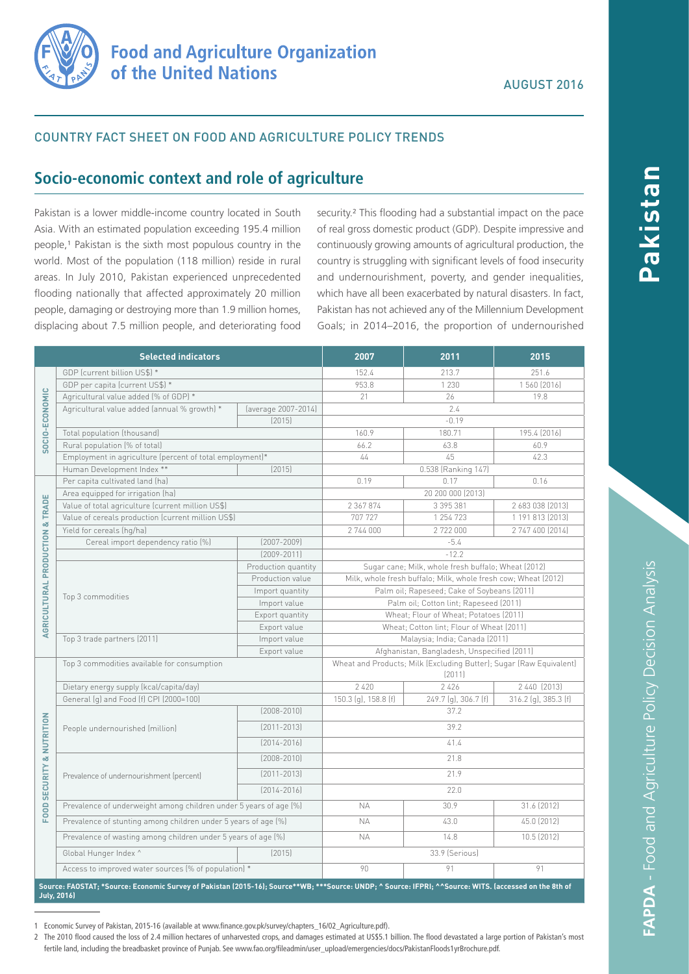

## COUNTRY FACT SHEET ON FOOD AND AGRICULTURE POLICY TRENDS

# **Socio-economic context and role of agriculture**

Pakistan is a lower middle-income country located in South Asia. With an estimated population exceeding 195.4 million people,<sup>1</sup> Pakistan is the sixth most populous country in the world. Most of the population (118 million) reside in rural areas. In July 2010, Pakistan experienced unprecedented flooding nationally that affected approximately 20 million people, damaging or destroying more than 1.9 million homes, displacing about 7.5 million people, and deteriorating food

security.<sup>2</sup> This flooding had a substantial impact on the pace of real gross domestic product (GDP). Despite impressive and continuously growing amounts of agricultural production, the country is struggling with significant levels of food insecurity and undernourishment, poverty, and gender inequalities, which have all been exacerbated by natural disasters. In fact, Pakistan has not achieved any of the Millennium Development Goals; in 2014–2016, the proportion of undernourished

| <b>Selected indicators</b>                                                                                                                                                   |                                                                   | 2007                | 2011                                                                          | 2015                 |                      |
|------------------------------------------------------------------------------------------------------------------------------------------------------------------------------|-------------------------------------------------------------------|---------------------|-------------------------------------------------------------------------------|----------------------|----------------------|
| SOCIO-ECONOMIC                                                                                                                                                               | GDP (current billion US\$) *                                      |                     | 152.4                                                                         | 213.7                | 251.6                |
|                                                                                                                                                                              | GDP per capita (current US\$) *                                   |                     | 953.8                                                                         | 1 2 3 0              | 1 560 (2016)         |
|                                                                                                                                                                              | Agricultural value added (% of GDP) *                             |                     | 21                                                                            | 26                   | 19.8                 |
|                                                                                                                                                                              | Agricultural value added (annual % growth) *                      | (average 2007-2014) | 2.4                                                                           |                      |                      |
|                                                                                                                                                                              |                                                                   | [2015]              | $-0.19$                                                                       |                      |                      |
|                                                                                                                                                                              | Total population (thousand)                                       |                     | 160.9                                                                         | 180.71               | 195.4 (2016)         |
|                                                                                                                                                                              | Rural population (% of total)                                     |                     | 66.2                                                                          | 63.8                 | 60.9                 |
|                                                                                                                                                                              | Employment in agriculture (percent of total employment)*          |                     | 44                                                                            | 45                   | 42.3                 |
|                                                                                                                                                                              | Human Development Index **<br>[2015]                              |                     | 0.538 (Ranking 147)                                                           |                      |                      |
| AGRICULTURAL PRODUCTION & TRADE                                                                                                                                              | Per capita cultivated land (ha)                                   |                     | 0.19                                                                          | 0.17<br>0.16         |                      |
|                                                                                                                                                                              | Area equipped for irrigation (ha)                                 |                     | 20 200 000 (2013)                                                             |                      |                      |
|                                                                                                                                                                              | Value of total agriculture (current million US\$)                 |                     | 2 367 874                                                                     | 3 395 381            | 2 683 038 (2013)     |
|                                                                                                                                                                              | Value of cereals production (current million US\$)                |                     | 707 727                                                                       | 1 254 723            | 1 191 813 (2013)     |
|                                                                                                                                                                              | Yield for cereals (hg/ha)                                         |                     | 2 744 000                                                                     | 2722000              | 2 747 400 (2014)     |
|                                                                                                                                                                              | Cereal import dependency ratio [%]                                | $[2007 - 2009]$     | $-5.4$                                                                        |                      |                      |
|                                                                                                                                                                              |                                                                   | $[2009 - 2011]$     | $-12.2$                                                                       |                      |                      |
|                                                                                                                                                                              | Top 3 commodities                                                 | Production quantity | Sugar cane; Milk, whole fresh buffalo; Wheat (2012)                           |                      |                      |
|                                                                                                                                                                              |                                                                   | Production value    | Milk, whole fresh buffalo; Milk, whole fresh cow; Wheat (2012)                |                      |                      |
|                                                                                                                                                                              |                                                                   | Import quantity     | Palm oil; Rapeseed; Cake of Soybeans (2011)                                   |                      |                      |
|                                                                                                                                                                              |                                                                   | Import value        | Palm oil; Cotton lint; Rapeseed (2011)                                        |                      |                      |
|                                                                                                                                                                              |                                                                   | Export quantity     | Wheat; Flour of Wheat; Potatoes (2011)                                        |                      |                      |
|                                                                                                                                                                              | Export value                                                      |                     | Wheat; Cotton lint; Flour of Wheat (2011)                                     |                      |                      |
|                                                                                                                                                                              | Top 3 trade partners (2011)<br>Import value<br>Export value       |                     | Malaysia; India; Canada (2011)                                                |                      |                      |
|                                                                                                                                                                              |                                                                   |                     | Afghanistan, Bangladesh, Unspecified (2011)                                   |                      |                      |
|                                                                                                                                                                              | Top 3 commodities available for consumption                       |                     | Wheat and Products; Milk (Excluding Butter); Sugar (Raw Equivalent)<br>(2011) |                      |                      |
| FOOD SECURITY & NUTRITION                                                                                                                                                    | Dietary energy supply (kcal/capita/day)                           |                     | 2 4 2 0                                                                       | 2426                 | 2 440 (2013)         |
|                                                                                                                                                                              | General (g) and Food (f) CPI (2000=100)                           |                     | 150.3 (g), 158.8 (f)                                                          | 249.7 (g), 306.7 (f) | 316.2 (g), 385.3 (f) |
|                                                                                                                                                                              | People undernourished (million)                                   | $[2008 - 2010]$     | 37.2                                                                          |                      |                      |
|                                                                                                                                                                              |                                                                   | $[2011 - 2013]$     | 39.2                                                                          |                      |                      |
|                                                                                                                                                                              |                                                                   | $[2014 - 2016]$     | 41.4                                                                          |                      |                      |
|                                                                                                                                                                              | Prevalence of undernourishment (percent)                          | $[2008 - 2010]$     | 21.8                                                                          |                      |                      |
|                                                                                                                                                                              |                                                                   | $[2011 - 2013]$     | 21.9                                                                          |                      |                      |
|                                                                                                                                                                              |                                                                   | $[2014 - 2016]$     | 22.0                                                                          |                      |                      |
|                                                                                                                                                                              | Prevalence of underweight among children under 5 years of age (%) |                     | <b>NA</b>                                                                     | 30.9                 | 31.6 (2012)          |
|                                                                                                                                                                              | Prevalence of stunting among children under 5 years of age (%)    |                     | <b>NA</b>                                                                     | 43.0                 | 45.0 (2012)          |
|                                                                                                                                                                              | Prevalence of wasting among children under 5 years of age (%)     |                     | <b>NA</b>                                                                     | 14.8                 | 10.5 (2012)          |
|                                                                                                                                                                              | Global Hunger Index ^                                             | [2015]              |                                                                               | 33.9 (Serious)       |                      |
|                                                                                                                                                                              | Access to improved water sources (% of population) *              |                     | 90                                                                            | 91                   | 91                   |
| Source: FAOSTAT; *Source: Economic Survey of Pakistan (2015-16); Source**WB; ***Source: UNDP; ^ Source: IFPRI; ^^Source: WITS. (accessed on the 8th of<br><b>July, 2016)</b> |                                                                   |                     |                                                                               |                      |                      |

1 Economic Survey of Pakistan, 2015-16 (available at www.finance.gov.pk/survey/chapters\_16/02\_Agriculture.pdf).

2 The 2010 flood caused the loss of 2.4 million hectares of unharvested crops, and damages estimated at US\$5.1 billion. The flood devastated a large portion of Pakistan's most fertile land, including the breadbasket province of Punjab. See www.fao.org/fileadmin/user\_upload/emergencies/docs/PakistanFloods1yrBrochure.pdf.

**Pakistan**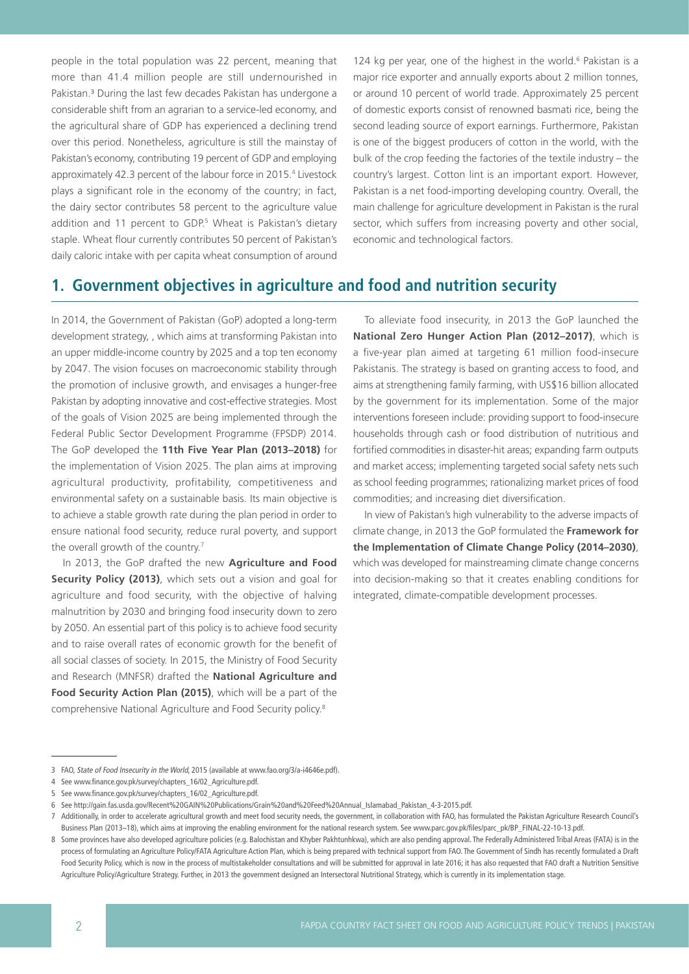people in the total population was 22 percent, meaning that more than 41.4 million people are still undernourished in Pakistan.<sup>3</sup> During the last few decades Pakistan has undergone a considerable shift from an agrarian to a service-led economy, and the agricultural share of GDP has experienced a declining trend over this period. Nonetheless, agriculture is still the mainstay of Pakistan's economy, contributing 19 percent of GDP and employing approximately 42.3 percent of the labour force in 2015.<sup>4</sup> Livestock plays a significant role in the economy of the country; in fact, the dairy sector contributes 58 percent to the agriculture value addition and 11 percent to GDP.<sup>5</sup> Wheat is Pakistan's dietary staple. Wheat flour currently contributes 50 percent of Pakistan's daily caloric intake with per capita wheat consumption of around

124 kg per year, one of the highest in the world. $6$  Pakistan is a major rice exporter and annually exports about 2 million tonnes, or around 10 percent of world trade. Approximately 25 percent of domestic exports consist of renowned basmati rice, being the second leading source of export earnings. Furthermore, Pakistan is one of the biggest producers of cotton in the world, with the bulk of the crop feeding the factories of the textile industry – the country's largest. Cotton lint is an important export. However, Pakistan is a net food-importing developing country. Overall, the main challenge for agriculture development in Pakistan is the rural sector, which suffers from increasing poverty and other social, economic and technological factors.

# **1. Government objectives in agriculture and food and nutrition security**

In 2014, the Government of Pakistan (GoP) adopted a long-term development strategy, , which aims at transforming Pakistan into an upper middle-income country by 2025 and a top ten economy by 2047. The vision focuses on macroeconomic stability through the promotion of inclusive growth, and envisages a hunger-free Pakistan by adopting innovative and cost-effective strategies. Most of the goals of Vision 2025 are being implemented through the Federal Public Sector Development Programme (FPSDP) 2014. The GoP developed the **11th Five Year Plan (2013–2018)** for the implementation of Vision 2025. The plan aims at improving agricultural productivity, profitability, competitiveness and environmental safety on a sustainable basis. Its main objective is to achieve a stable growth rate during the plan period in order to ensure national food security, reduce rural poverty, and support the overall growth of the country.<sup>7</sup>

In 2013, the GoP drafted the new **Agriculture and Food Security Policy (2013)**, which sets out a vision and goal for agriculture and food security, with the objective of halving malnutrition by 2030 and bringing food insecurity down to zero by 2050. An essential part of this policy is to achieve food security and to raise overall rates of economic growth for the benefit of all social classes of society. In 2015, the Ministry of Food Security and Research (MNFSR) drafted the **National Agriculture and Food Security Action Plan (2015)**, which will be a part of the comprehensive National Agriculture and Food Security policy.8

To alleviate food insecurity, in 2013 the GoP launched the **National Zero Hunger Action Plan (2012–2017)**, which is a five-year plan aimed at targeting 61 million food-insecure Pakistanis. The strategy is based on granting access to food, and aims at strengthening family farming, with US\$16 billion allocated by the government for its implementation. Some of the major interventions foreseen include: providing support to food-insecure households through cash or food distribution of nutritious and fortified commodities in disaster-hit areas; expanding farm outputs and market access; implementing targeted social safety nets such as school feeding programmes; rationalizing market prices of food commodities; and increasing diet diversification.

In view of Pakistan's high vulnerability to the adverse impacts of climate change, in 2013 the GoP formulated the **Framework for the Implementation of Climate Change Policy (2014–2030)**, which was developed for mainstreaming climate change concerns into decision-making so that it creates enabling conditions for integrated, climate-compatible development processes.

<sup>3</sup> FAO, State of Food Insecurity in the World, 2015 (available at www.fao.org/3/a-i4646e.pdf).

<sup>4</sup> See www.finance.gov.pk/survey/chapters\_16/02\_Agriculture.pdf.

<sup>5</sup> See www.finance.gov.pk/survey/chapters\_16/02\_Agriculture.pdf.

<sup>6</sup> See http://gain.fas.usda.gov/Recent%20GAIN%20Publications/Grain%20and%20Feed%20Annual\_Islamabad\_Pakistan\_4-3-2015.pdf.

<sup>7</sup> Additionally, in order to accelerate agricultural growth and meet food security needs, the government, in collaboration with FAO, has formulated the Pakistan Agriculture Research Council's Business Plan (2013–18), which aims at improving the enabling environment for the national research system. See www.parc.gov.pk/files/parc\_pk/BP\_FINAL-22-10-13.pdf.

<sup>8</sup> Some provinces have also developed agriculture policies (e.g. Balochistan and Khyber Pakhtunhkwa), which are also pending approval. The Federally Administered Tribal Areas (FATA) is in the process of formulating an Agriculture Policy/FATA Agriculture Action Plan, which is being prepared with technical support from FAO. The Government of Sindh has recently formulated a Draft Food Security Policy, which is now in the process of multistakeholder consultations and will be submitted for approval in late 2016; it has also requested that FAO draft a Nutrition Sensitive Agriculture Policy/Agriculture Strategy. Further, in 2013 the government designed an Intersectoral Nutritional Strategy, which is currently in its implementation stage.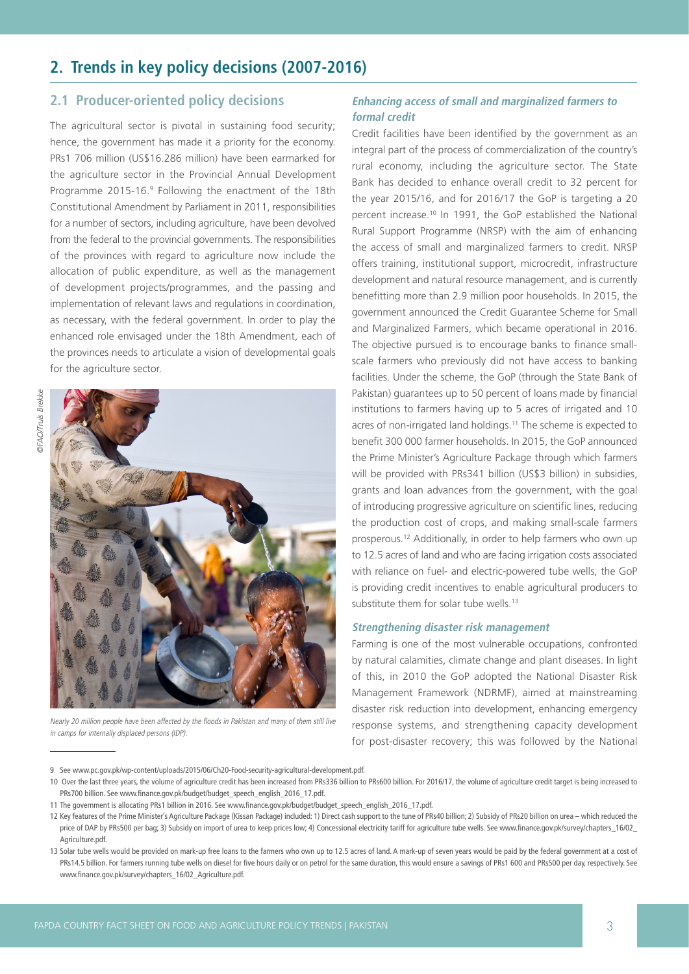# **2. Trends in key policy decisions (2007-2016)**

## **2.1 Producer-oriented policy decisions**

The agricultural sector is pivotal in sustaining food security; hence, the government has made it a priority for the economy. PRs1 706 million (US\$16.286 million) have been earmarked for the agriculture sector in the Provincial Annual Development Programme 2015-16.<sup>9</sup> Following the enactment of the 18th Constitutional Amendment by Parliament in 2011, responsibilities for a number of sectors, including agriculture, have been devolved from the federal to the provincial governments. The responsibilities of the provinces with regard to agriculture now include the allocation of public expenditure, as well as the management of development projects/programmes, and the passing and implementation of relevant laws and regulations in coordination, as necessary, with the federal government. In order to play the enhanced role envisaged under the 18th Amendment, each of the provinces needs to articulate a vision of developmental goals for the agriculture sector.



Nearly 20 million people have been affected by the floods in Pakistan and many of them still live in camps for internally displaced persons (IDP).

## **Enhancing access of small and marginalized farmers to formal credit**

Credit facilities have been identified by the government as an integral part of the process of commercialization of the country's rural economy, including the agriculture sector. The State Bank has decided to enhance overall credit to 32 percent for the year 2015/16, and for 2016/17 the GoP is targeting a 20 percent increase.10 In 1991, the GoP established the National Rural Support Programme (NRSP) with the aim of enhancing the access of small and marginalized farmers to credit. NRSP offers training, institutional support, microcredit, infrastructure development and natural resource management, and is currently benefitting more than 2.9 million poor households. In 2015, the government announced the Credit Guarantee Scheme for Small and Marginalized Farmers, which became operational in 2016. The objective pursued is to encourage banks to finance smallscale farmers who previously did not have access to banking facilities. Under the scheme, the GoP (through the State Bank of Pakistan) guarantees up to 50 percent of loans made by financial institutions to farmers having up to 5 acres of irrigated and 10 acres of non-irrigated land holdings.11 The scheme is expected to benefit 300 000 farmer households. In 2015, the GoP announced the Prime Minister's Agriculture Package through which farmers will be provided with PRs341 billion (US\$3 billion) in subsidies, grants and loan advances from the government, with the goal of introducing progressive agriculture on scientific lines, reducing the production cost of crops, and making small-scale farmers prosperous.12 Additionally, in order to help farmers who own up to 12.5 acres of land and who are facing irrigation costs associated with reliance on fuel- and electric-powered tube wells, the GoP is providing credit incentives to enable agricultural producers to substitute them for solar tube wells.<sup>13</sup>

#### **Strengthening disaster risk management**

Farming is one of the most vulnerable occupations, confronted by natural calamities, climate change and plant diseases. In light of this, in 2010 the GoP adopted the National Disaster Risk Management Framework (NDRMF), aimed at mainstreaming disaster risk reduction into development, enhancing emergency response systems, and strengthening capacity development for post-disaster recovery; this was followed by the National

<sup>9</sup> See www.pc.gov.pk/wp-content/uploads/2015/06/Ch20-Food-security-agricultural-development.pdf.

<sup>10</sup> Over the last three years, the volume of agriculture credit has been increased from PRs336 billion to PRs600 billion. For 2016/17, the volume of agriculture credit target is being increased to PRs700 billion. See www.finance.gov.pk/budget/budget\_speech\_english\_2016\_17.pdf.

<sup>11</sup> The government is allocating PRs1 billion in 2016. See www.finance.gov.pk/budget/budget\_speech\_english\_2016\_17.pdf.

<sup>12</sup> Key features of the Prime Minister's Agriculture Package (Kissan Package) included: 1) Direct cash support to the tune of PRs40 billion; 2) Subsidy of PRs20 billion on urea – which reduced the price of DAP by PRs500 per bag; 3) Subsidy on import of urea to keep prices low; 4) Concessional electricity tariff for agriculture tube wells. See www.finance.gov.pk/survey/chapters\_16/02\_ Agriculture.pdf.

<sup>13</sup> Solar tube wells would be provided on mark-up free loans to the farmers who own up to 12.5 acres of land. A mark-up of seven years would be paid by the federal government at a cost of PRs14.5 billion. For farmers running tube wells on diesel for five hours daily or on petrol for the same duration, this would ensure a savings of PRs1 600 and PRs500 per day, respectively. See www.finance.gov.pk/survey/chapters\_16/02\_Agriculture.pdf.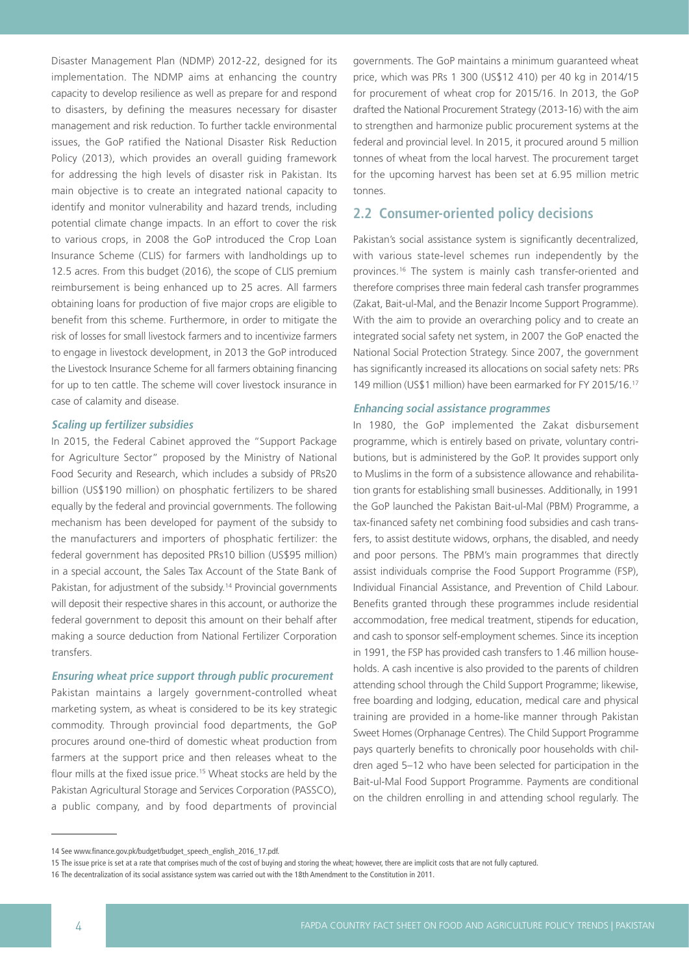Disaster Management Plan (NDMP) 2012-22, designed for its implementation. The NDMP aims at enhancing the country capacity to develop resilience as well as prepare for and respond to disasters, by defining the measures necessary for disaster management and risk reduction. To further tackle environmental issues, the GoP ratified the National Disaster Risk Reduction Policy (2013), which provides an overall guiding framework for addressing the high levels of disaster risk in Pakistan. Its main objective is to create an integrated national capacity to identify and monitor vulnerability and hazard trends, including potential climate change impacts. In an effort to cover the risk to various crops, in 2008 the GoP introduced the Crop Loan Insurance Scheme (CLIS) for farmers with landholdings up to 12.5 acres. From this budget (2016), the scope of CLIS premium reimbursement is being enhanced up to 25 acres. All farmers obtaining loans for production of five major crops are eligible to benefit from this scheme. Furthermore, in order to mitigate the risk of losses for small livestock farmers and to incentivize farmers to engage in livestock development, in 2013 the GoP introduced the Livestock Insurance Scheme for all farmers obtaining financing for up to ten cattle. The scheme will cover livestock insurance in case of calamity and disease.

#### **Scaling up fertilizer subsidies**

In 2015, the Federal Cabinet approved the "Support Package for Agriculture Sector" proposed by the Ministry of National Food Security and Research, which includes a subsidy of PRs20 billion (US\$190 million) on phosphatic fertilizers to be shared equally by the federal and provincial governments. The following mechanism has been developed for payment of the subsidy to the manufacturers and importers of phosphatic fertilizer: the federal government has deposited PRs10 billion (US\$95 million) in a special account, the Sales Tax Account of the State Bank of Pakistan, for adjustment of the subsidy.<sup>14</sup> Provincial governments will deposit their respective shares in this account, or authorize the federal government to deposit this amount on their behalf after making a source deduction from National Fertilizer Corporation transfers.

#### **Ensuring wheat price support through public procurement**

Pakistan maintains a largely government-controlled wheat marketing system, as wheat is considered to be its key strategic commodity. Through provincial food departments, the GoP procures around one-third of domestic wheat production from farmers at the support price and then releases wheat to the flour mills at the fixed issue price.<sup>15</sup> Wheat stocks are held by the Pakistan Agricultural Storage and Services Corporation (PASSCO), a public company, and by food departments of provincial governments. The GoP maintains a minimum guaranteed wheat price, which was PRs 1 300 (US\$12 410) per 40 kg in 2014/15 for procurement of wheat crop for 2015/16. In 2013, the GoP drafted the National Procurement Strategy (2013-16) with the aim to strengthen and harmonize public procurement systems at the federal and provincial level. In 2015, it procured around 5 million tonnes of wheat from the local harvest. The procurement target for the upcoming harvest has been set at 6.95 million metric tonnes.

# **2.2 Consumer-oriented policy decisions**

Pakistan's social assistance system is significantly decentralized, with various state-level schemes run independently by the provinces.16 The system is mainly cash transfer-oriented and therefore comprises three main federal cash transfer programmes (Zakat, Bait-ul-Mal, and the Benazir Income Support Programme). With the aim to provide an overarching policy and to create an integrated social safety net system, in 2007 the GoP enacted the National Social Protection Strategy. Since 2007, the government has significantly increased its allocations on social safety nets: PRs 149 million (US\$1 million) have been earmarked for FY 2015/16.17

#### **Enhancing social assistance programmes**

In 1980, the GoP implemented the Zakat disbursement programme, which is entirely based on private, voluntary contributions, but is administered by the GoP. It provides support only to Muslims in the form of a subsistence allowance and rehabilitation grants for establishing small businesses. Additionally, in 1991 the GoP launched the Pakistan Bait-ul-Mal (PBM) Programme, a tax-financed safety net combining food subsidies and cash transfers, to assist destitute widows, orphans, the disabled, and needy and poor persons. The PBM's main programmes that directly assist individuals comprise the Food Support Programme (FSP), Individual Financial Assistance, and Prevention of Child Labour. Benefits granted through these programmes include residential accommodation, free medical treatment, stipends for education, and cash to sponsor self-employment schemes. Since its inception in 1991, the FSP has provided cash transfers to 1.46 million households. A cash incentive is also provided to the parents of children attending school through the Child Support Programme; likewise, free boarding and lodging, education, medical care and physical training are provided in a home-like manner through Pakistan Sweet Homes (Orphanage Centres). The Child Support Programme pays quarterly benefits to chronically poor households with children aged 5–12 who have been selected for participation in the Bait-ul-Mal Food Support Programme. Payments are conditional on the children enrolling in and attending school regularly. The

<sup>14</sup> See www.finance.gov.pk/budget/budget\_speech\_english\_2016\_17.pdf.

<sup>15</sup> The issue price is set at a rate that comprises much of the cost of buying and storing the wheat; however, there are implicit costs that are not fully captured.

<sup>16</sup> The decentralization of its social assistance system was carried out with the 18th Amendment to the Constitution in 2011.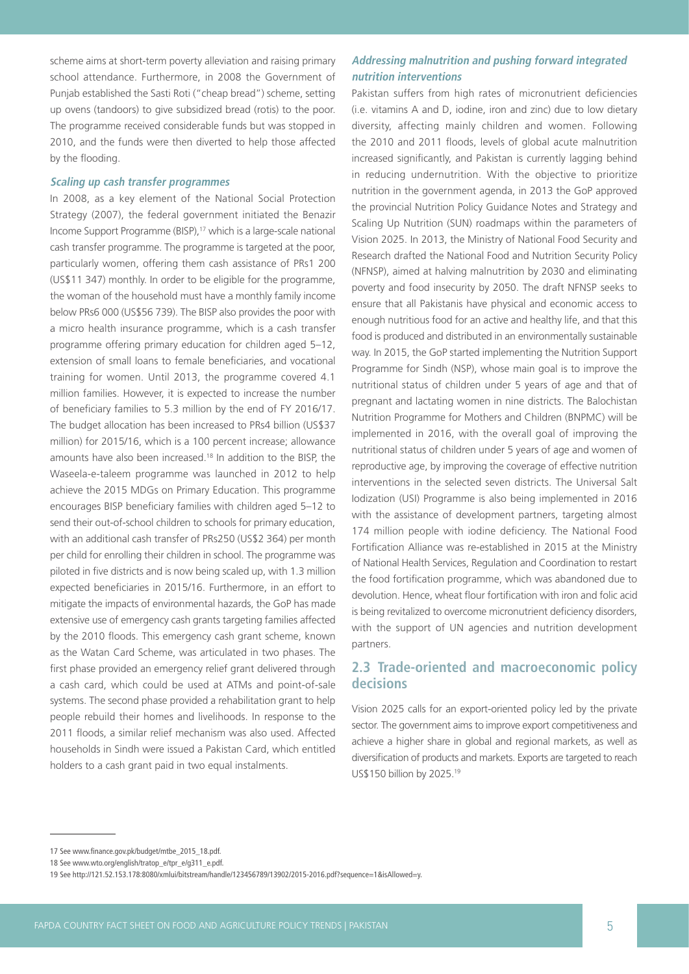scheme aims at short-term poverty alleviation and raising primary school attendance. Furthermore, in 2008 the Government of Punjab established the Sasti Roti ("cheap bread") scheme, setting up ovens (tandoors) to give subsidized bread (rotis) to the poor. The programme received considerable funds but was stopped in 2010, and the funds were then diverted to help those affected by the flooding.

#### **Scaling up cash transfer programmes**

In 2008, as a key element of the National Social Protection Strategy (2007), the federal government initiated the Benazir Income Support Programme (BISP),<sup>17</sup> which is a large-scale national cash transfer programme. The programme is targeted at the poor, particularly women, offering them cash assistance of PRs1 200 (US\$11 347) monthly. In order to be eligible for the programme, the woman of the household must have a monthly family income below PRs6 000 (US\$56 739). The BISP also provides the poor with a micro health insurance programme, which is a cash transfer programme offering primary education for children aged 5–12, extension of small loans to female beneficiaries, and vocational training for women. Until 2013, the programme covered 4.1 million families. However, it is expected to increase the number of beneficiary families to 5.3 million by the end of FY 2016/17. The budget allocation has been increased to PRs4 billion (US\$37 million) for 2015/16, which is a 100 percent increase; allowance amounts have also been increased.18 In addition to the BISP, the Waseela-e-taleem programme was launched in 2012 to help achieve the 2015 MDGs on Primary Education. This programme encourages BISP beneficiary families with children aged 5–12 to send their out-of-school children to schools for primary education, with an additional cash transfer of PRs250 (US\$2 364) per month per child for enrolling their children in school. The programme was piloted in five districts and is now being scaled up, with 1.3 million expected beneficiaries in 2015/16. Furthermore, in an effort to mitigate the impacts of environmental hazards, the GoP has made extensive use of emergency cash grants targeting families affected by the 2010 floods. This emergency cash grant scheme, known as the Watan Card Scheme, was articulated in two phases. The first phase provided an emergency relief grant delivered through a cash card, which could be used at ATMs and point-of-sale systems. The second phase provided a rehabilitation grant to help people rebuild their homes and livelihoods. In response to the 2011 floods, a similar relief mechanism was also used. Affected households in Sindh were issued a Pakistan Card, which entitled holders to a cash grant paid in two equal instalments.

### **Addressing malnutrition and pushing forward integrated nutrition interventions**

Pakistan suffers from high rates of micronutrient deficiencies (i.e. vitamins A and D, iodine, iron and zinc) due to low dietary diversity, affecting mainly children and women. Following the 2010 and 2011 floods, levels of global acute malnutrition increased significantly, and Pakistan is currently lagging behind in reducing undernutrition. With the objective to prioritize nutrition in the government agenda, in 2013 the GoP approved the provincial Nutrition Policy Guidance Notes and Strategy and Scaling Up Nutrition (SUN) roadmaps within the parameters of Vision 2025. In 2013, the Ministry of National Food Security and Research drafted the National Food and Nutrition Security Policy (NFNSP), aimed at halving malnutrition by 2030 and eliminating poverty and food insecurity by 2050. The draft NFNSP seeks to ensure that all Pakistanis have physical and economic access to enough nutritious food for an active and healthy life, and that this food is produced and distributed in an environmentally sustainable way. In 2015, the GoP started implementing the Nutrition Support Programme for Sindh (NSP), whose main goal is to improve the nutritional status of children under 5 years of age and that of pregnant and lactating women in nine districts. The Balochistan Nutrition Programme for Mothers and Children (BNPMC) will be implemented in 2016, with the overall goal of improving the nutritional status of children under 5 years of age and women of reproductive age, by improving the coverage of effective nutrition interventions in the selected seven districts. The Universal Salt Iodization (USI) Programme is also being implemented in 2016 with the assistance of development partners, targeting almost 174 million people with iodine deficiency. The National Food Fortification Alliance was re-established in 2015 at the Ministry of National Health Services, Regulation and Coordination to restart the food fortification programme, which was abandoned due to devolution. Hence, wheat flour fortification with iron and folic acid is being revitalized to overcome micronutrient deficiency disorders, with the support of UN agencies and nutrition development partners.

# **2.3 Trade-oriented and macroeconomic policy decisions**

Vision 2025 calls for an export-oriented policy led by the private sector. The government aims to improve export competitiveness and achieve a higher share in global and regional markets, as well as diversification of products and markets. Exports are targeted to reach US\$150 billion by 2025.19

<sup>17</sup> See www.finance.gov.pk/budget/mtbe\_2015\_18.pdf.

<sup>18</sup> See www.wto.org/english/tratop\_e/tpr\_e/g311\_e.pdf.

<sup>19</sup> See http://121.52.153.178:8080/xmlui/bitstream/handle/123456789/13902/2015-2016.pdf?sequence=1&isAllowed=y.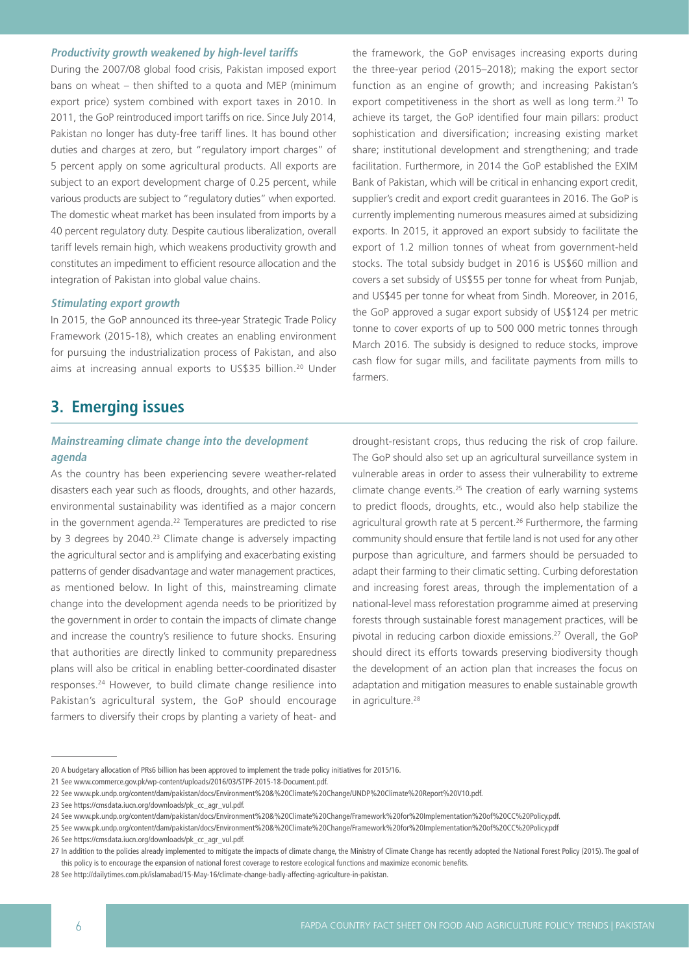#### **Productivity growth weakened by high-level tariffs**

During the 2007/08 global food crisis, Pakistan imposed export bans on wheat – then shifted to a quota and MEP (minimum export price) system combined with export taxes in 2010. In 2011, the GoP reintroduced import tariffs on rice. Since July 2014, Pakistan no longer has duty-free tariff lines. It has bound other duties and charges at zero, but "regulatory import charges" of 5 percent apply on some agricultural products. All exports are subject to an export development charge of 0.25 percent, while various products are subject to "regulatory duties" when exported. The domestic wheat market has been insulated from imports by a 40 percent regulatory duty. Despite cautious liberalization, overall tariff levels remain high, which weakens productivity growth and constitutes an impediment to efficient resource allocation and the integration of Pakistan into global value chains.

#### **Stimulating export growth**

In 2015, the GoP announced its three-year Strategic Trade Policy Framework (2015-18), which creates an enabling environment for pursuing the industrialization process of Pakistan, and also aims at increasing annual exports to US\$35 billion.20 Under

# **3. Emerging issues**

### **Mainstreaming climate change into the development agenda**

As the country has been experiencing severe weather-related disasters each year such as floods, droughts, and other hazards, environmental sustainability was identified as a major concern in the government agenda.<sup>22</sup> Temperatures are predicted to rise by 3 degrees by 2040.<sup>23</sup> Climate change is adversely impacting the agricultural sector and is amplifying and exacerbating existing patterns of gender disadvantage and water management practices, as mentioned below. In light of this, mainstreaming climate change into the development agenda needs to be prioritized by the government in order to contain the impacts of climate change and increase the country's resilience to future shocks. Ensuring that authorities are directly linked to community preparedness plans will also be critical in enabling better-coordinated disaster responses.24 However, to build climate change resilience into Pakistan's agricultural system, the GoP should encourage farmers to diversify their crops by planting a variety of heat- and

the framework, the GoP envisages increasing exports during the three-year period (2015–2018); making the export sector function as an engine of growth; and increasing Pakistan's export competitiveness in the short as well as long term.<sup>21</sup> To achieve its target, the GoP identified four main pillars: product sophistication and diversification; increasing existing market share; institutional development and strengthening; and trade facilitation. Furthermore, in 2014 the GoP established the EXIM Bank of Pakistan, which will be critical in enhancing export credit, supplier's credit and export credit guarantees in 2016. The GoP is currently implementing numerous measures aimed at subsidizing exports. In 2015, it approved an export subsidy to facilitate the export of 1.2 million tonnes of wheat from government-held stocks. The total subsidy budget in 2016 is US\$60 million and covers a set subsidy of US\$55 per tonne for wheat from Punjab, and US\$45 per tonne for wheat from Sindh. Moreover, in 2016, the GoP approved a sugar export subsidy of US\$124 per metric tonne to cover exports of up to 500 000 metric tonnes through March 2016. The subsidy is designed to reduce stocks, improve cash flow for sugar mills, and facilitate payments from mills to farmers.

drought-resistant crops, thus reducing the risk of crop failure. The GoP should also set up an agricultural surveillance system in vulnerable areas in order to assess their vulnerability to extreme climate change events.25 The creation of early warning systems to predict floods, droughts, etc., would also help stabilize the agricultural growth rate at 5 percent.<sup>26</sup> Furthermore, the farming community should ensure that fertile land is not used for any other purpose than agriculture, and farmers should be persuaded to adapt their farming to their climatic setting. Curbing deforestation and increasing forest areas, through the implementation of a national-level mass reforestation programme aimed at preserving forests through sustainable forest management practices, will be pivotal in reducing carbon dioxide emissions.27 Overall, the GoP should direct its efforts towards preserving biodiversity though the development of an action plan that increases the focus on adaptation and mitigation measures to enable sustainable growth in agriculture.<sup>28</sup>

26 See https://cmsdata.iucn.org/downloads/pk\_cc\_agr\_vul.pdf.

<sup>20</sup> A budgetary allocation of PRs6 billion has been approved to implement the trade policy initiatives for 2015/16.

<sup>21</sup> See www.commerce.gov.pk/wp-content/uploads/2016/03/STPF-2015-18-Document.pdf.

<sup>22</sup> See www.pk.undp.org/content/dam/pakistan/docs/Environment%20&%20Climate%20Change/UNDP%20Climate%20Report%20V10.pdf.

<sup>23</sup> See https://cmsdata.iucn.org/downloads/pk\_cc\_agr\_vul.pdf.

<sup>24</sup> See www.pk.undp.org/content/dam/pakistan/docs/Environment%20&%20Climate%20Change/Framework%20for%20Implementation%20of%20CC%20Policy.pdf.

<sup>25</sup> See www.pk.undp.org/content/dam/pakistan/docs/Environment%20&%20Climate%20Change/Framework%20for%20Implementation%20of%20CC%20Policy.pdf

<sup>27</sup> In addition to the policies already implemented to mitigate the impacts of climate change, the Ministry of Climate Change has recently adopted the National Forest Policy (2015). The goal of this policy is to encourage the expansion of national forest coverage to restore ecological functions and maximize economic benefits.

<sup>28</sup> See http://dailytimes.com.pk/islamabad/15-May-16/climate-change-badly-affecting-agriculture-in-pakistan.